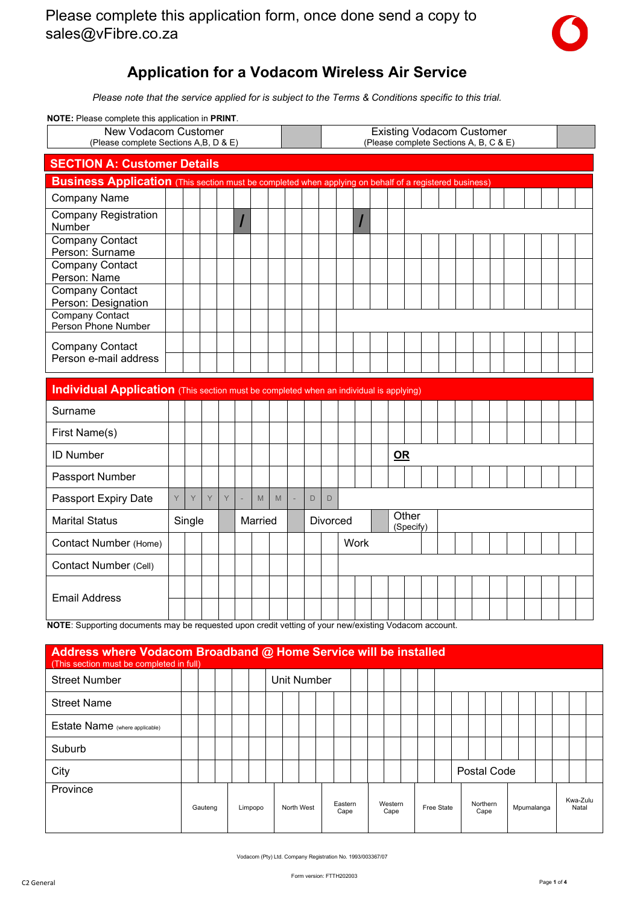

## **Application for a Vodacom Wireless Air Service**

*Please note that the service applied for is subject to the Terms & Conditions specific to this trial.*

**NOTE:** Please complete this application in **PRINT**.

| NOTE: Please complete this application in PRINT.                                                              |  |  |  |  |  |  |  |                                                                            |  |  |  |  |
|---------------------------------------------------------------------------------------------------------------|--|--|--|--|--|--|--|----------------------------------------------------------------------------|--|--|--|--|
| New Vodacom Customer<br>(Please complete Sections A,B, D & E)                                                 |  |  |  |  |  |  |  | <b>Existing Vodacom Customer</b><br>(Please complete Sections A, B, C & E) |  |  |  |  |
| <b>SECTION A: Customer Details</b>                                                                            |  |  |  |  |  |  |  |                                                                            |  |  |  |  |
| <b>Business Application</b> (This section must be completed when applying on behalf of a registered business) |  |  |  |  |  |  |  |                                                                            |  |  |  |  |
| <b>Company Name</b>                                                                                           |  |  |  |  |  |  |  |                                                                            |  |  |  |  |
| <b>Company Registration</b><br><b>Number</b>                                                                  |  |  |  |  |  |  |  |                                                                            |  |  |  |  |
| Company Contact<br>Person: Surname                                                                            |  |  |  |  |  |  |  |                                                                            |  |  |  |  |
| <b>Company Contact</b><br>Person: Name                                                                        |  |  |  |  |  |  |  |                                                                            |  |  |  |  |
| Company Contact<br>Person: Designation                                                                        |  |  |  |  |  |  |  |                                                                            |  |  |  |  |
| Company Contact<br>Person Phone Number                                                                        |  |  |  |  |  |  |  |                                                                            |  |  |  |  |
| <b>Company Contact</b><br>Person e-mail address                                                               |  |  |  |  |  |  |  |                                                                            |  |  |  |  |
|                                                                                                               |  |  |  |  |  |  |  |                                                                            |  |  |  |  |

| <b>Individual Application</b> (This section must be completed when an individual is applying) |   |        |   |        |         |   |   |                 |             |      |                    |  |  |  |  |  |
|-----------------------------------------------------------------------------------------------|---|--------|---|--------|---------|---|---|-----------------|-------------|------|--------------------|--|--|--|--|--|
| Surname                                                                                       |   |        |   |        |         |   |   |                 |             |      |                    |  |  |  |  |  |
| First Name(s)                                                                                 |   |        |   |        |         |   |   |                 |             |      |                    |  |  |  |  |  |
| <b>ID Number</b>                                                                              |   |        |   |        |         |   |   |                 |             | $OR$ |                    |  |  |  |  |  |
| Passport Number                                                                               |   |        |   |        |         |   |   |                 |             |      |                    |  |  |  |  |  |
| Passport Expiry Date                                                                          | Y | Y      | Y | $\vee$ | M       | M | D | D               |             |      |                    |  |  |  |  |  |
| <b>Marital Status</b>                                                                         |   | Single |   |        | Married |   |   | <b>Divorced</b> |             |      | Other<br>(Specify) |  |  |  |  |  |
| Contact Number (Home)                                                                         |   |        |   |        |         |   |   |                 | <b>Work</b> |      |                    |  |  |  |  |  |
| Contact Number (Cell)                                                                         |   |        |   |        |         |   |   |                 |             |      |                    |  |  |  |  |  |
|                                                                                               |   |        |   |        |         |   |   |                 |             |      |                    |  |  |  |  |  |
| <b>Email Address</b>                                                                          |   |        |   |        |         |   |   |                 |             |      |                    |  |  |  |  |  |

**NOTE**: Supporting documents may be requested upon credit vetting of your new/existing Vodacom account.

| Address where Vodacom Broadband @ Home Service will be installed<br>(This section must be completed in full) |         |  |         |  |             |                 |  |                 |  |            |          |             |            |  |                   |  |
|--------------------------------------------------------------------------------------------------------------|---------|--|---------|--|-------------|-----------------|--|-----------------|--|------------|----------|-------------|------------|--|-------------------|--|
| <b>Street Number</b>                                                                                         |         |  |         |  | Unit Number |                 |  |                 |  |            |          |             |            |  |                   |  |
| <b>Street Name</b>                                                                                           |         |  |         |  |             |                 |  |                 |  |            |          |             |            |  |                   |  |
| Estate Name (where applicable)                                                                               |         |  |         |  |             |                 |  |                 |  |            |          |             |            |  |                   |  |
| Suburb                                                                                                       |         |  |         |  |             |                 |  |                 |  |            |          |             |            |  |                   |  |
| City                                                                                                         |         |  |         |  |             |                 |  |                 |  |            |          | Postal Code |            |  |                   |  |
| Province                                                                                                     | Gauteng |  | Limpopo |  | North West  | Eastern<br>Cape |  | Western<br>Cape |  | Free State | Northern | Cape        | Mpumalanga |  | Kwa-Zulu<br>Natal |  |

Vodacom (Pty) Ltd. Company Registration No. 1993/003367/07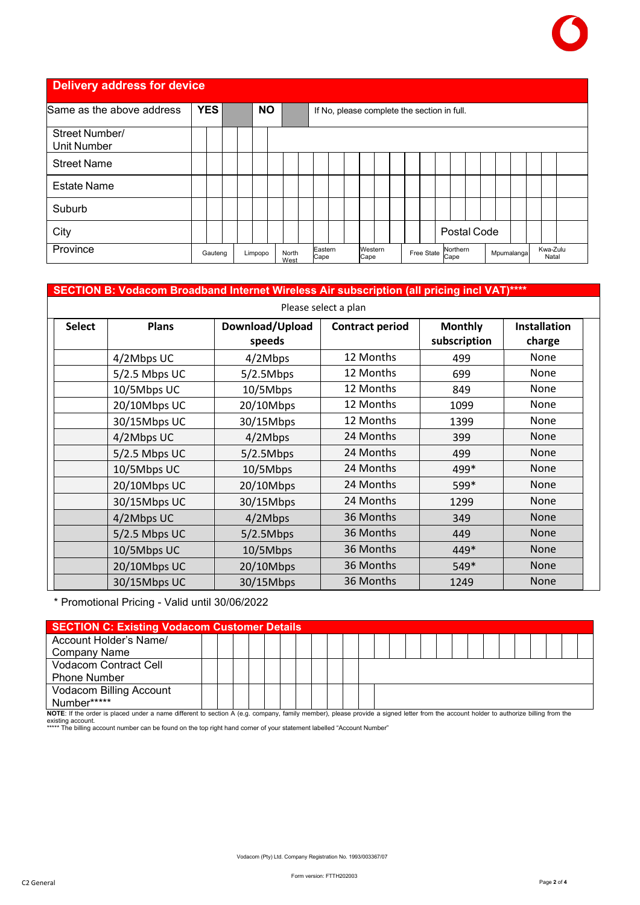

**Delivery address for device** 

| Same as the above address     | <b>YES</b> |  | <b>NO</b> |               |                 |  |                 | If No, please complete the section in full. |                  |  |            |                   |  |
|-------------------------------|------------|--|-----------|---------------|-----------------|--|-----------------|---------------------------------------------|------------------|--|------------|-------------------|--|
| Street Number/<br>Unit Number |            |  |           |               |                 |  |                 |                                             |                  |  |            |                   |  |
| <b>Street Name</b>            |            |  |           |               |                 |  |                 |                                             |                  |  |            |                   |  |
| <b>Estate Name</b>            |            |  |           |               |                 |  |                 |                                             |                  |  |            |                   |  |
| Suburb                        |            |  |           |               |                 |  |                 |                                             |                  |  |            |                   |  |
| City                          |            |  |           |               |                 |  |                 |                                             | Postal Code      |  |            |                   |  |
| Province                      | Gauteng    |  | Limpopo   | North<br>West | Eastern<br>Cape |  | Western<br>Cape | Free State                                  | Northern<br>Cape |  | Mpumalanga | Kwa-Zulu<br>Natal |  |

## **SECTION B: Vodacom Broadband Internet Wireless Air subscription (all pricing incl VAT)\*\*\*\***

|               | Please select a plan |                           |                        |                                |                               |  |  |  |  |  |  |
|---------------|----------------------|---------------------------|------------------------|--------------------------------|-------------------------------|--|--|--|--|--|--|
| <b>Select</b> | <b>Plans</b>         | Download/Upload<br>speeds | <b>Contract period</b> | <b>Monthly</b><br>subscription | <b>Installation</b><br>charge |  |  |  |  |  |  |
|               | 4/2Mbps UC           | 4/2Mbps                   | 12 Months              | 499                            | None                          |  |  |  |  |  |  |
|               | $5/2.5$ Mbps UC      | 5/2.5Mbps                 | 12 Months              | 699                            | None                          |  |  |  |  |  |  |
|               | 10/5Mbps UC          | 10/5Mbps                  | 12 Months              | 849                            | None                          |  |  |  |  |  |  |
|               | 20/10Mbps UC         | 20/10Mbps                 | 12 Months              | 1099                           | None                          |  |  |  |  |  |  |
|               | 30/15Mbps UC         | 30/15Mbps                 | 12 Months              | 1399                           | None                          |  |  |  |  |  |  |
|               | 4/2Mbps UC           | 4/2Mbps                   | 24 Months              | 399                            | <b>None</b>                   |  |  |  |  |  |  |
|               | $5/2.5$ Mbps UC      | 5/2.5Mbps                 | 24 Months              | 499                            | <b>None</b>                   |  |  |  |  |  |  |
|               | 10/5Mbps UC          | 10/5Mbps                  | 24 Months              | 499*                           | None                          |  |  |  |  |  |  |
|               | 20/10Mbps UC         | 20/10Mbps                 | 24 Months              | 599*                           | None                          |  |  |  |  |  |  |
|               | 30/15Mbps UC         | 30/15Mbps                 | 24 Months              | 1299                           | <b>None</b>                   |  |  |  |  |  |  |
|               | 4/2Mbps UC           | 4/2Mbps                   | 36 Months              | 349                            | <b>None</b>                   |  |  |  |  |  |  |
|               | 5/2.5 Mbps UC        | 5/2.5Mbps                 | 36 Months              | 449                            | <b>None</b>                   |  |  |  |  |  |  |
|               | 10/5Mbps UC          | 10/5Mbps                  | 36 Months              | 449*                           | <b>None</b>                   |  |  |  |  |  |  |
|               | 20/10Mbps UC         | 20/10Mbps                 | 36 Months              | 549*                           | <b>None</b>                   |  |  |  |  |  |  |
|               | 30/15Mbps UC         | 30/15Mbps                 | 36 Months              | 1249                           | <b>None</b>                   |  |  |  |  |  |  |

\* Promotional Pricing - Valid until 30/06/2022

|                                                                                                                                                                                      | <b>SECTION C: Existing Vodacom Customer Details</b> |  |  |  |  |  |  |  |  |  |  |  |  |  |  |  |  |  |
|--------------------------------------------------------------------------------------------------------------------------------------------------------------------------------------|-----------------------------------------------------|--|--|--|--|--|--|--|--|--|--|--|--|--|--|--|--|--|
| Account Holder's Name/                                                                                                                                                               |                                                     |  |  |  |  |  |  |  |  |  |  |  |  |  |  |  |  |  |
| Company Name                                                                                                                                                                         |                                                     |  |  |  |  |  |  |  |  |  |  |  |  |  |  |  |  |  |
| <b>Vodacom Contract Cell</b>                                                                                                                                                         |                                                     |  |  |  |  |  |  |  |  |  |  |  |  |  |  |  |  |  |
| <b>Phone Number</b>                                                                                                                                                                  |                                                     |  |  |  |  |  |  |  |  |  |  |  |  |  |  |  |  |  |
| Vodacom Billing Account                                                                                                                                                              |                                                     |  |  |  |  |  |  |  |  |  |  |  |  |  |  |  |  |  |
| Number*****                                                                                                                                                                          |                                                     |  |  |  |  |  |  |  |  |  |  |  |  |  |  |  |  |  |
| NOTE: If the order is placed under a name different to section A (e.g. company, family member), please provide a signed letter from the account holder to authorize billing from the |                                                     |  |  |  |  |  |  |  |  |  |  |  |  |  |  |  |  |  |

existing account. \*\*\*\*\* The billing account number can be found on the top right hand corner of your statement labelled "Account Number"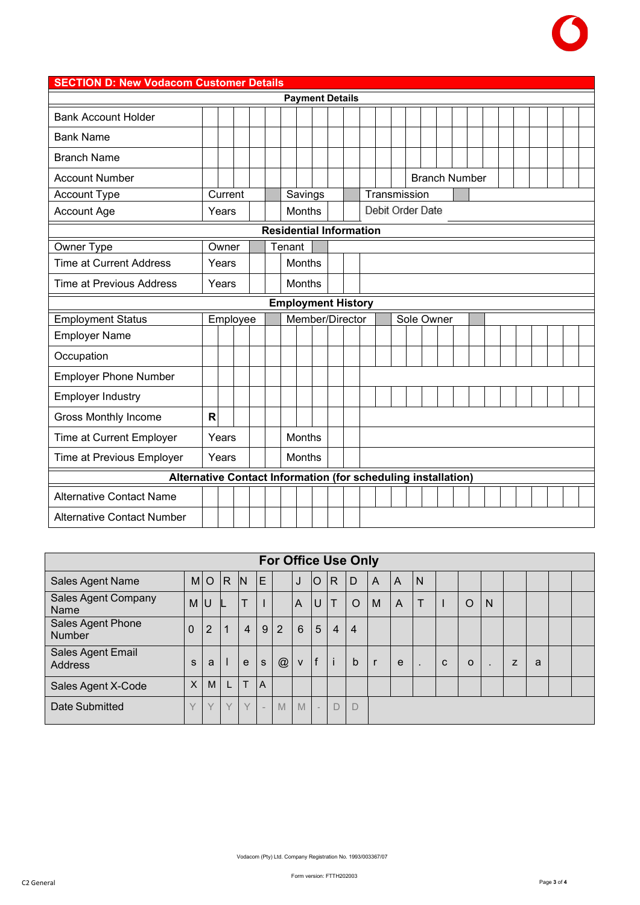

## **SECTION D: New Vodacom Customer Details Payment Details** Bank Account Holder Bank Name Branch Name Account Number **Branch Number Branch Number Branch Number** Account Type Current Savings Transmission Debit Order Date Account Age **No. 1 | Xears | | | Months Residential Information** Owner Type **Owner Type Owner Tenant** Time at Current Address Months Nonths Time at Previous Address | Years | | | Months **Employment History** Employment Status | Employee | Member/Director | Sole Owner Employer Name **Occupation** Employer Phone Number Employer Industry Gross Monthly Income **R** Time at Current Employer | Years | | | Months Time at Previous Employer | Years | | | Months **Alternative Contact Information (for scheduling installation)** Alternative Contact Name Alternative Contact Number

|                                     |        |                |        |                |                          |             |              |              |                | <b>For Office Use Only</b> |                |   |              |             |          |              |   |   |  |
|-------------------------------------|--------|----------------|--------|----------------|--------------------------|-------------|--------------|--------------|----------------|----------------------------|----------------|---|--------------|-------------|----------|--------------|---|---|--|
| Sales Agent Name                    |        | M <sub>o</sub> | R      | IN             | ΙE                       |             | J            | lO           | $\mathsf{R}$   | D                          | $\overline{A}$ | A | IN.          |             |          |              |   |   |  |
| <b>Sales Agent Company</b><br>Name  | M      | lU             |        | T              |                          |             | A            | U            | Т              | $\circ$                    | M              | A | $\top$       |             | O        | N            |   |   |  |
| Sales Agent Phone<br><b>Number</b>  | 0      | $\overline{2}$ |        | $\overline{4}$ | 9                        | 2           | 6            | 5            | $\overline{4}$ | 4                          |                |   |              |             |          |              |   |   |  |
| Sales Agent Email<br><b>Address</b> | S      | a              |        | $\mathbf{e}$   | S                        | $\circleda$ | $\mathsf{V}$ | $\mathsf{f}$ | $\mathbf{i}$   | b                          |                | e | $\mathbf{r}$ | $\mathbf C$ | $\Omega$ | $\mathbf{r}$ | Z | a |  |
| Sales Agent X-Code                  | X      | M              | L      | T              | $\overline{A}$           |             |              |              |                |                            |                |   |              |             |          |              |   |   |  |
| Date Submitted                      | $\vee$ |                | $\vee$ | $\checkmark$   | $\overline{\phantom{a}}$ | M           | M            | ÷.           | D              | D                          |                |   |              |             |          |              |   |   |  |